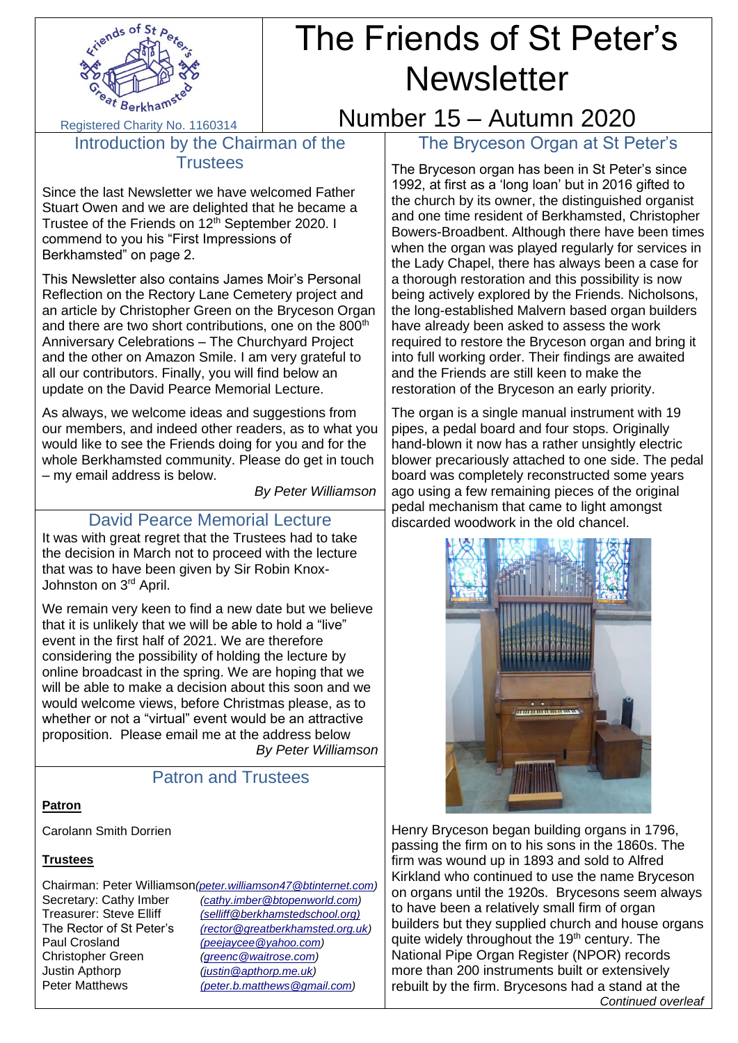

# The Friends of St Peter's **Newsletter**

Registered Charity No. 1160314

Introduction by the Chairman of the **Trustees** 

Since the last Newsletter we have welcomed Father Stuart Owen and we are delighted that he became a Trustee of the Friends on 12<sup>th</sup> September 2020. I commend to you his "First Impressions of Berkhamsted" on page 2.

This Newsletter also contains James Moir's Personal Reflection on the Rectory Lane Cemetery project and an article by Christopher Green on the Bryceson Organ and there are two short contributions, one on the 800<sup>th</sup> Anniversary Celebrations – The Churchyard Project and the other on Amazon Smile. I am very grateful to all our contributors. Finally, you will find below an update on the David Pearce Memorial Lecture.

As always, we welcome ideas and suggestions from our members, and indeed other readers, as to what you would like to see the Friends doing for you and for the whole Berkhamsted community. Please do get in touch – my email address is below.

 *By Peter Williamson*

## David Pearce Memorial Lecture

It was with great regret that the Trustees had to take the decision in March not to proceed with the lecture that was to have been given by Sir Robin Knox-Johnston on 3rd April.

We remain very keen to find a new date but we believe that it is unlikely that we will be able to hold a "live" event in the first half of 2021. We are therefore considering the possibility of holding the lecture by online broadcast in the spring. We are hoping that we will be able to make a decision about this soon and we would welcome views, before Christmas please, as to whether or not a "virtual" event would be an attractive proposition. Please email me at the address below *By Peter Williamson*

# Patron and Trustees

#### **Patron**

Carolann Smith Dorrien

#### **Trustees**

Chairman: Peter Williamson*[\(peter.williamson47@btinternet.com\)](mailto:peter.williamson47@btinternet.com)* Secretary: Cathy Imber *[\(cathy.imber@btopenworld.com\)](mailto:cathy.imber@btopenworld.com)* Treasurer: Steve Elliff *[\(selliff@berkhamstedschool.org\)](mailto:selliff@berkhamstedschool.org)* The Rector of St Peter's *[\(rector@greatberkhamsted.org.uk\)](mailto:(rector@greatberkhamsted.org.uk)* Paul Crosland *[\(peejaycee@yahoo.com\)](mailto:(peejaycee@yahoo.com)* Christopher Green *[\(greenc@waitrose.com\)](mailto:greenc@waitrose.com)* Justin Apthorp *[\(justin@apthorp.me.uk\)](mailto:justin@apthorp.me.uk)* Peter Matthews *[\(peter.b.matthews@gmail.com\)](mailto:(peter.b.matthews@gmail.com)*

# Number 15 – Autumn 2020 The Bryceson Organ at St Peter's

The Bryceson organ has been in St Peter's since 1992, at first as a 'long loan' but in 2016 gifted to the church by its owner, the distinguished organist and one time resident of Berkhamsted, Christopher Bowers-Broadbent. Although there have been times when the organ was played regularly for services in the Lady Chapel, there has always been a case for a thorough restoration and this possibility is now being actively explored by the Friends. Nicholsons, the long-established Malvern based organ builders have already been asked to assess the work required to restore the Bryceson organ and bring it into full working order. Their findings are awaited and the Friends are still keen to make the restoration of the Bryceson an early priority.

The organ is a single manual instrument with 19 pipes, a pedal board and four stops. Originally hand-blown it now has a rather unsightly electric blower precariously attached to one side. The pedal board was completely reconstructed some years ago using a few remaining pieces of the original pedal mechanism that came to light amongst discarded woodwork in the old chancel.



Henry Bryceson began building organs in 1796, passing the firm on to his sons in the 1860s. The firm was wound up in 1893 and sold to Alfred Kirkland who continued to use the name Bryceson on organs until the 1920s. Brycesons seem always to have been a relatively small firm of organ builders but they supplied church and house organs quite widely throughout the 19<sup>th</sup> century. The National Pipe Organ Register (NPOR) records more than 200 instruments built or extensively rebuilt by the firm. Brycesons had a stand at the

*Continued overleaf*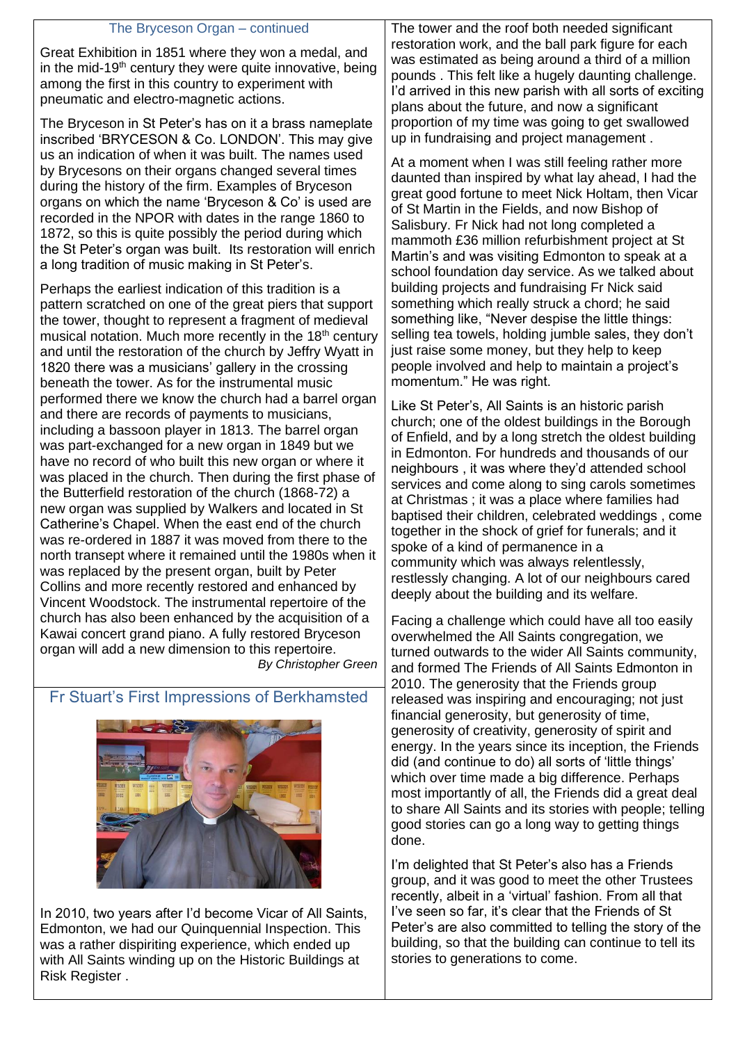| The Bryceson Organ – continued                                                                                                                                                                                                                                                                                                                                                                                                                                                                                                                                                                                                                                                                                                                                                                                                                                                                                               | The tower and the roof both needed significant                                                                                                                                                                                                                                                                                                                                                                                                                                                                                                                                                                                                                                                                                                                                       |
|------------------------------------------------------------------------------------------------------------------------------------------------------------------------------------------------------------------------------------------------------------------------------------------------------------------------------------------------------------------------------------------------------------------------------------------------------------------------------------------------------------------------------------------------------------------------------------------------------------------------------------------------------------------------------------------------------------------------------------------------------------------------------------------------------------------------------------------------------------------------------------------------------------------------------|--------------------------------------------------------------------------------------------------------------------------------------------------------------------------------------------------------------------------------------------------------------------------------------------------------------------------------------------------------------------------------------------------------------------------------------------------------------------------------------------------------------------------------------------------------------------------------------------------------------------------------------------------------------------------------------------------------------------------------------------------------------------------------------|
| Great Exhibition in 1851 where they won a medal, and<br>in the mid-19 <sup>th</sup> century they were quite innovative, being<br>among the first in this country to experiment with<br>pneumatic and electro-magnetic actions.                                                                                                                                                                                                                                                                                                                                                                                                                                                                                                                                                                                                                                                                                               | restoration work, and the ball park figure for each<br>was estimated as being around a third of a million<br>pounds. This felt like a hugely daunting challenge.<br>I'd arrived in this new parish with all sorts of exciting<br>plans about the future, and now a significant                                                                                                                                                                                                                                                                                                                                                                                                                                                                                                       |
| The Bryceson in St Peter's has on it a brass nameplate<br>inscribed 'BRYCESON & Co. LONDON'. This may give                                                                                                                                                                                                                                                                                                                                                                                                                                                                                                                                                                                                                                                                                                                                                                                                                   | proportion of my time was going to get swallowed<br>up in fundraising and project management.                                                                                                                                                                                                                                                                                                                                                                                                                                                                                                                                                                                                                                                                                        |
| us an indication of when it was built. The names used<br>by Brycesons on their organs changed several times<br>during the history of the firm. Examples of Bryceson<br>organs on which the name 'Bryceson & Co' is used are<br>recorded in the NPOR with dates in the range 1860 to<br>1872, so this is quite possibly the period during which<br>the St Peter's organ was built. Its restoration will enrich<br>a long tradition of music making in St Peter's.                                                                                                                                                                                                                                                                                                                                                                                                                                                             | At a moment when I was still feeling rather more<br>daunted than inspired by what lay ahead, I had the<br>great good fortune to meet Nick Holtam, then Vicar<br>of St Martin in the Fields, and now Bishop of<br>Salisbury. Fr Nick had not long completed a<br>mammoth £36 million refurbishment project at St<br>Martin's and was visiting Edmonton to speak at a<br>school foundation day service. As we talked about                                                                                                                                                                                                                                                                                                                                                             |
| Perhaps the earliest indication of this tradition is a<br>pattern scratched on one of the great piers that support<br>the tower, thought to represent a fragment of medieval<br>musical notation. Much more recently in the 18 <sup>th</sup> century<br>and until the restoration of the church by Jeffry Wyatt in<br>1820 there was a musicians' gallery in the crossing<br>beneath the tower. As for the instrumental music                                                                                                                                                                                                                                                                                                                                                                                                                                                                                                | building projects and fundraising Fr Nick said<br>something which really struck a chord; he said<br>something like, "Never despise the little things:<br>selling tea towels, holding jumble sales, they don't<br>just raise some money, but they help to keep<br>people involved and help to maintain a project's<br>momentum." He was right.                                                                                                                                                                                                                                                                                                                                                                                                                                        |
| performed there we know the church had a barrel organ<br>and there are records of payments to musicians,<br>including a bassoon player in 1813. The barrel organ<br>was part-exchanged for a new organ in 1849 but we<br>have no record of who built this new organ or where it<br>was placed in the church. Then during the first phase of<br>the Butterfield restoration of the church (1868-72) a<br>new organ was supplied by Walkers and located in St<br>Catherine's Chapel. When the east end of the church<br>was re-ordered in 1887 it was moved from there to the<br>north transept where it remained until the 1980s when it<br>was replaced by the present organ, built by Peter<br>Collins and more recently restored and enhanced by<br>Vincent Woodstock. The instrumental repertoire of the<br>church has also been enhanced by the acquisition of a<br>Kawai concert grand piano. A fully restored Bryceson | Like St Peter's, All Saints is an historic parish<br>church; one of the oldest buildings in the Borough<br>of Enfield, and by a long stretch the oldest building<br>in Edmonton. For hundreds and thousands of our<br>neighbours, it was where they'd attended school<br>services and come along to sing carols sometimes<br>at Christmas; it was a place where families had<br>baptised their children, celebrated weddings, come<br>together in the shock of grief for funerals; and it<br>spoke of a kind of permanence in a<br>community which was always relentlessly,<br>restlessly changing. A lot of our neighbours cared<br>deeply about the building and its welfare.<br>Facing a challenge which could have all too easily<br>overwhelmed the All Saints congregation, we |
| organ will add a new dimension to this repertoire.<br><b>By Christopher Green</b>                                                                                                                                                                                                                                                                                                                                                                                                                                                                                                                                                                                                                                                                                                                                                                                                                                            | turned outwards to the wider All Saints community,<br>and formed The Friends of All Saints Edmonton in<br>2010. The generosity that the Friends group                                                                                                                                                                                                                                                                                                                                                                                                                                                                                                                                                                                                                                |
| Fr Stuart's First Impressions of Berkhamsted                                                                                                                                                                                                                                                                                                                                                                                                                                                                                                                                                                                                                                                                                                                                                                                                                                                                                 | released was inspiring and encouraging; not just<br>financial generosity, but generosity of time,                                                                                                                                                                                                                                                                                                                                                                                                                                                                                                                                                                                                                                                                                    |
| <b>CONTRACTOR</b><br><b>INCORPORATION</b>                                                                                                                                                                                                                                                                                                                                                                                                                                                                                                                                                                                                                                                                                                                                                                                                                                                                                    | concredity of creativity, generacity of spirit and                                                                                                                                                                                                                                                                                                                                                                                                                                                                                                                                                                                                                                                                                                                                   |



In 2010, two years after I'd become Vicar of All Saints, Edmonton, we had our Quinquennial Inspection. This was a rather dispiriting experience, which ended up with All Saints winding up on the Historic Buildings at Risk Register .

generosity of creativity, generosity of spirit and energy. In the years since its inception, the Friends did (and continue to do) all sorts of 'little things' which over time made a big difference. Perhaps most importantly of all, the Friends did a great deal to share All Saints and its stories with people; telling good stories can go a long way to getting things done. I'm delighted that St Peter's also has a Friends

group, and it was good to meet the other Trustees recently, albeit in a 'virtual' fashion. From all that I've seen so far, it's clear that the Friends of St Peter's are also committed to telling the story of the building, so that the building can continue to tell its stories to generations to come.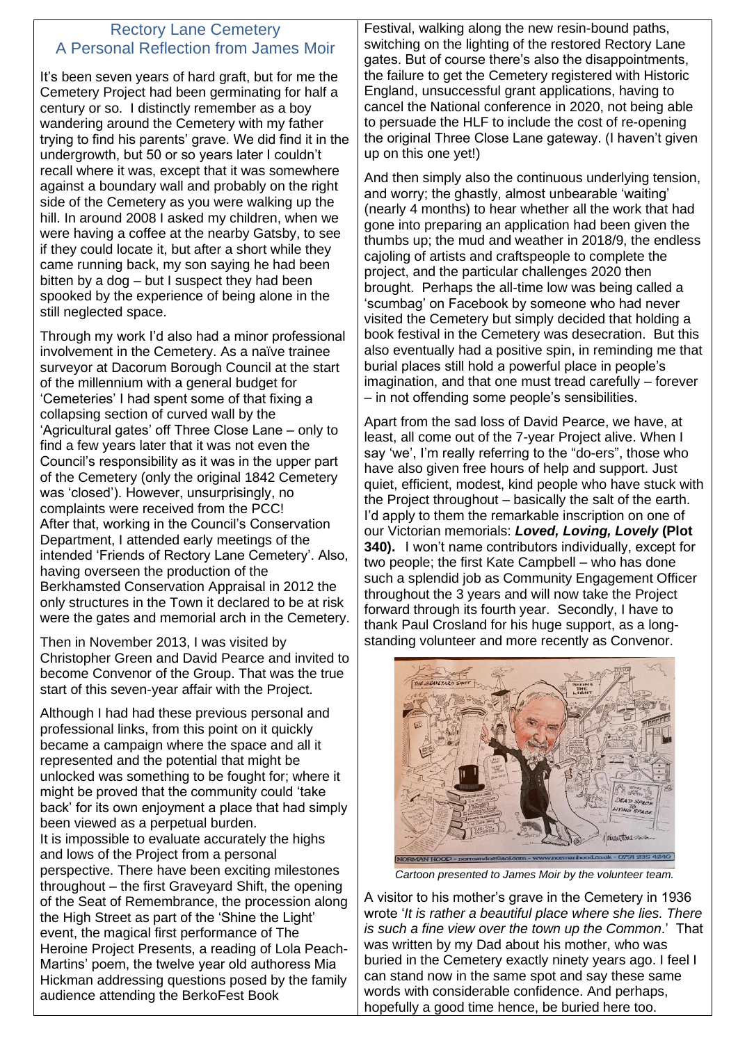## Rectory Lane Cemetery A Personal Reflection from James Moir

It's been seven years of hard graft, but for me the Cemetery Project had been germinating for half a century or so. I distinctly remember as a boy wandering around the Cemetery with my father trying to find his parents' grave. We did find it in the undergrowth, but 50 or so years later I couldn't recall where it was, except that it was somewhere against a boundary wall and probably on the right side of the Cemetery as you were walking up the hill. In around 2008 I asked my children, when we were having a coffee at the nearby Gatsby, to see if they could locate it, but after a short while they came running back, my son saying he had been bitten by a dog – but I suspect they had been spooked by the experience of being alone in the still neglected space.

Through my work I'd also had a minor professional involvement in the Cemetery. As a naïve trainee surveyor at Dacorum Borough Council at the start of the millennium with a general budget for 'Cemeteries' I had spent some of that fixing a collapsing section of curved wall by the 'Agricultural gates' off Three Close Lane – only to find a few years later that it was not even the Council's responsibility as it was in the upper part of the Cemetery (only the original 1842 Cemetery was 'closed'). However, unsurprisingly, no complaints were received from the PCC! After that, working in the Council's Conservation Department, I attended early meetings of the intended 'Friends of Rectory Lane Cemetery'. Also, having overseen the production of the Berkhamsted Conservation Appraisal in 2012 the only structures in the Town it declared to be at risk were the gates and memorial arch in the Cemetery.

Then in November 2013, I was visited by Christopher Green and David Pearce and invited to become Convenor of the Group. That was the true start of this seven-year affair with the Project.

Although I had had these previous personal and professional links, from this point on it quickly became a campaign where the space and all it represented and the potential that might be unlocked was something to be fought for; where it might be proved that the community could 'take back' for its own enjoyment a place that had simply been viewed as a perpetual burden. It is impossible to evaluate accurately the highs and lows of the Project from a personal perspective. There have been exciting milestones throughout – the first Graveyard Shift, the opening of the Seat of Remembrance, the procession along the High Street as part of the 'Shine the Light' event, the magical first performance of The Heroine Project Presents, a reading of Lola Peach-Martins' poem, the twelve year old authoress Mia Hickman addressing questions posed by the family audience attending the BerkoFest Book

Festival, walking along the new resin-bound paths, switching on the lighting of the restored Rectory Lane gates. But of course there's also the disappointments, the failure to get the Cemetery registered with Historic England, unsuccessful grant applications, having to cancel the National conference in 2020, not being able to persuade the HLF to include the cost of re-opening the original Three Close Lane gateway. (I haven't given up on this one yet!)

And then simply also the continuous underlying tension, and worry; the ghastly, almost unbearable 'waiting' (nearly 4 months) to hear whether all the work that had gone into preparing an application had been given the thumbs up; the mud and weather in 2018/9, the endless cajoling of artists and craftspeople to complete the project, and the particular challenges 2020 then brought. Perhaps the all-time low was being called a 'scumbag' on Facebook by someone who had never visited the Cemetery but simply decided that holding a book festival in the Cemetery was desecration. But this also eventually had a positive spin, in reminding me that burial places still hold a powerful place in people's imagination, and that one must tread carefully – forever – in not offending some people's sensibilities.

Apart from the sad loss of David Pearce, we have, at least, all come out of the 7-year Project alive. When I say 'we', I'm really referring to the "do-ers", those who have also given free hours of help and support. Just quiet, efficient, modest, kind people who have stuck with the Project throughout – basically the salt of the earth. I'd apply to them the remarkable inscription on one of our Victorian memorials: *Loved, Loving, Lovely* **(Plot 340).** I won't name contributors individually, except for two people; the first Kate Campbell – who has done such a splendid job as Community Engagement Officer throughout the 3 years and will now take the Project forward through its fourth year. Secondly, I have to thank Paul Crosland for his huge support, as a longstanding volunteer and more recently as Convenor.



*Cartoon presented to James Moir by the volunteer team.*

A visitor to his mother's grave in the Cemetery in 1936 wrote '*It is rather a beautiful place where she lies. There is such a fine view over the town up the Common*.' That was written by my Dad about his mother, who was buried in the Cemetery exactly ninety years ago. I feel I can stand now in the same spot and say these same words with considerable confidence. And perhaps, hopefully a good time hence, be buried here too.